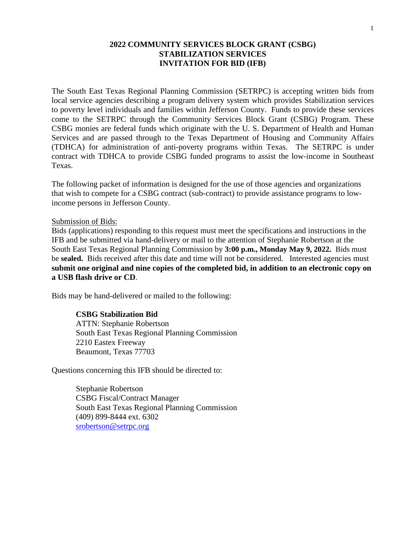## **2022 COMMUNITY SERVICES BLOCK GRANT (CSBG) STABILIZATION SERVICES INVITATION FOR BID (IFB)**

The South East Texas Regional Planning Commission (SETRPC) is accepting written bids from local service agencies describing a program delivery system which provides Stabilization services to poverty level individuals and families within Jefferson County. Funds to provide these services come to the SETRPC through the Community Services Block Grant (CSBG) Program. These CSBG monies are federal funds which originate with the U. S. Department of Health and Human Services and are passed through to the Texas Department of Housing and Community Affairs (TDHCA) for administration of anti-poverty programs within Texas. The SETRPC is under contract with TDHCA to provide CSBG funded programs to assist the low-income in Southeast Texas.

The following packet of information is designed for the use of those agencies and organizations that wish to compete for a CSBG contract (sub-contract) to provide assistance programs to lowincome persons in Jefferson County.

#### Submission of Bids:

Bids (applications) responding to this request must meet the specifications and instructions in the IFB and be submitted via hand-delivery or mail to the attention of Stephanie Robertson at the South East Texas Regional Planning Commission by **3:00 p.m., Monday May 9, 2022.** Bids must be **sealed.** Bids received after this date and time will not be considered. Interested agencies must **submit one original and nine copies of the completed bid, in addition to an electronic copy on a USB flash drive or CD**.

Bids may be hand-delivered or mailed to the following:

### **CSBG Stabilization Bid**

ATTN: Stephanie Robertson South East Texas Regional Planning Commission 2210 Eastex Freeway Beaumont, Texas 77703

Questions concerning this IFB should be directed to:

Stephanie Robertson CSBG Fiscal/Contract Manager South East Texas Regional Planning Commission (409) 899-8444 ext. 6302 [srobertson@setrpc.org](mailto:srobertson@setrpc.org)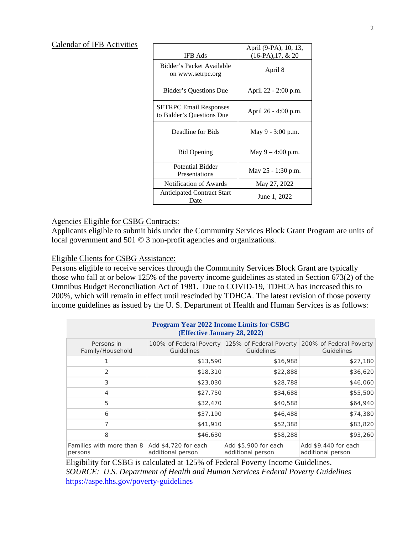### Calendar of IFB Activities

| <b>IFB</b> Ads                                             | April (9-PA), 10, 13,<br>$(16-PA), 17, & 20$ |  |
|------------------------------------------------------------|----------------------------------------------|--|
| Bidder's Packet Available<br>on www.setrpc.org             | April 8                                      |  |
| Bidder's Questions Due                                     | April 22 - 2:00 p.m.                         |  |
| <b>SETRPC Email Responses</b><br>to Bidder's Questions Due | April 26 - 4:00 p.m.                         |  |
| Deadline for Bids                                          | May 9 - 3:00 p.m.                            |  |
| <b>Bid Opening</b>                                         | May $9 - 4:00$ p.m.                          |  |
| Potential Bidder<br>Presentations                          | May $25 - 1:30$ p.m.                         |  |
| Notification of Awards                                     | May 27, 2022                                 |  |
| <b>Anticipated Contract Start</b><br>Date                  | June 1, 2022                                 |  |

#### Agencies Eligible for CSBG Contracts:

Applicants eligible to submit bids under the Community Services Block Grant Program are units of local government and 501 © 3 non-profit agencies and organizations.

### Eligible Clients for CSBG Assistance:

Persons eligible to receive services through the Community Services Block Grant are typically those who fall at or below 125% of the poverty income guidelines as stated in Section 673(2) of the Omnibus Budget Reconciliation Act of 1981. Due to COVID-19, TDHCA has increased this to 200%, which will remain in effect until rescinded by TDHCA. The latest revision of those poverty income guidelines as issued by the U. S. Department of Health and Human Services is as follows:

| <b>Program Year 2022 Income Limits for CSBG</b><br>(Effective January 28, 2022) |                                           |                                                               |                                           |
|---------------------------------------------------------------------------------|-------------------------------------------|---------------------------------------------------------------|-------------------------------------------|
| Persons in<br>Family/Household                                                  | 100% of Federal Poverty<br>Guidelines     | 125% of Federal Poverty 200% of Federal Poverty<br>Guidelines | Guidelines                                |
|                                                                                 | \$13,590                                  | \$16,988                                                      | \$27,180                                  |
| 2                                                                               | \$18,310                                  | \$22,888                                                      | \$36,620                                  |
| 3                                                                               | \$23,030                                  | \$28,788                                                      | \$46,060                                  |
| 4                                                                               | \$27,750                                  | \$34,688                                                      | \$55,500                                  |
| 5                                                                               | \$32,470                                  | \$40,588                                                      | \$64,940                                  |
| 6                                                                               | \$37,190                                  | \$46,488                                                      | \$74,380                                  |
| 7                                                                               | \$41,910                                  | \$52,388                                                      | \$83,820                                  |
| 8                                                                               | \$46,630                                  | \$58,288                                                      | \$93,260                                  |
| Families with more than 8<br>persons                                            | Add \$4,720 for each<br>additional person | Add \$5,900 for each<br>additional person                     | Add \$9,440 for each<br>additional person |

 Eligibility for CSBG is calculated at 125% of Federal Poverty Income Guidelines. *SOURCE: U.S. Department of Health and Human Services Federal Poverty Guidelines* <https://aspe.hhs.gov/poverty-guidelines>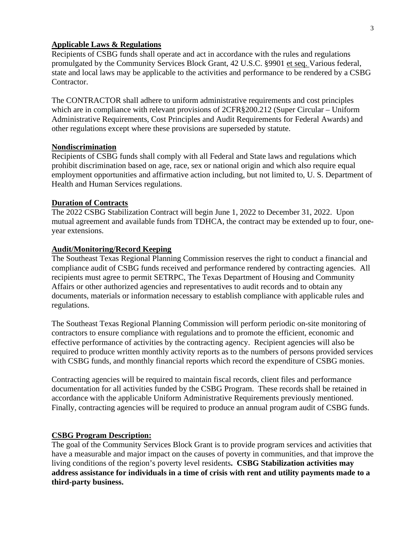#### **Applicable Laws & Regulations**

Recipients of CSBG funds shall operate and act in accordance with the rules and regulations promulgated by the Community Services Block Grant, 42 U.S.C. §9901 et seq. Various federal, state and local laws may be applicable to the activities and performance to be rendered by a CSBG Contractor.

The CONTRACTOR shall adhere to uniform administrative requirements and cost principles which are in compliance with relevant provisions of 2CFR§200.212 (Super Circular – Uniform Administrative Requirements, Cost Principles and Audit Requirements for Federal Awards) and other regulations except where these provisions are superseded by statute.

#### **Nondiscrimination**

Recipients of CSBG funds shall comply with all Federal and State laws and regulations which prohibit discrimination based on age, race, sex or national origin and which also require equal employment opportunities and affirmative action including, but not limited to, U. S. Department of Health and Human Services regulations.

#### **Duration of Contracts**

The 2022 CSBG Stabilization Contract will begin June 1, 2022 to December 31, 2022. Upon mutual agreement and available funds from TDHCA, the contract may be extended up to four, oneyear extensions.

#### **Audit/Monitoring/Record Keeping**

The Southeast Texas Regional Planning Commission reserves the right to conduct a financial and compliance audit of CSBG funds received and performance rendered by contracting agencies. All recipients must agree to permit SETRPC, The Texas Department of Housing and Community Affairs or other authorized agencies and representatives to audit records and to obtain any documents, materials or information necessary to establish compliance with applicable rules and regulations.

The Southeast Texas Regional Planning Commission will perform periodic on-site monitoring of contractors to ensure compliance with regulations and to promote the efficient, economic and effective performance of activities by the contracting agency. Recipient agencies will also be required to produce written monthly activity reports as to the numbers of persons provided services with CSBG funds, and monthly financial reports which record the expenditure of CSBG monies.

Contracting agencies will be required to maintain fiscal records, client files and performance documentation for all activities funded by the CSBG Program. These records shall be retained in accordance with the applicable Uniform Administrative Requirements previously mentioned. Finally, contracting agencies will be required to produce an annual program audit of CSBG funds.

## **CSBG Program Description:**

The goal of the Community Services Block Grant is to provide program services and activities that have a measurable and major impact on the causes of poverty in communities, and that improve the living conditions of the region's poverty level residents**. CSBG Stabilization activities may address assistance for individuals in a time of crisis with rent and utility payments made to a third-party business.**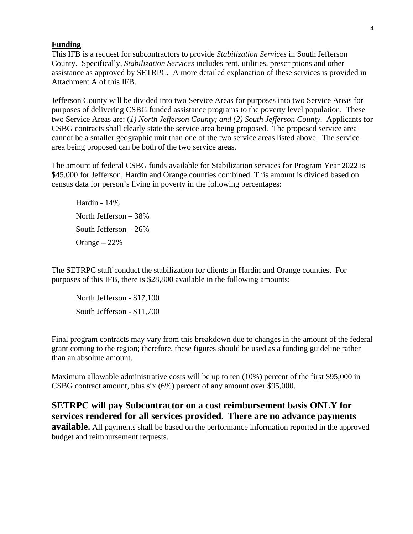### **Funding**

This IFB is a request for subcontractors to provide *Stabilization Services* in South Jefferson County. Specifically, *Stabilization Services* includes rent, utilities, prescriptions and other assistance as approved by SETRPC. A more detailed explanation of these services is provided in Attachment A of this IFB.

Jefferson County will be divided into two Service Areas for purposes into two Service Areas for purposes of delivering CSBG funded assistance programs to the poverty level population. These two Service Areas are: (*1) North Jefferson County; and (2) South Jefferson County.* Applicants for CSBG contracts shall clearly state the service area being proposed. The proposed service area cannot be a smaller geographic unit than one of the two service areas listed above. The service area being proposed can be both of the two service areas.

The amount of federal CSBG funds available for Stabilization services for Program Year 2022 is \$45,000 for Jefferson, Hardin and Orange counties combined. This amount is divided based on census data for person's living in poverty in the following percentages:

Hardin - 14% North Jefferson – 38% South Jefferson – 26% Orange – 22%

The SETRPC staff conduct the stabilization for clients in Hardin and Orange counties. For purposes of this IFB, there is \$28,800 available in the following amounts:

North Jefferson - \$17,100 South Jefferson - \$11,700

Final program contracts may vary from this breakdown due to changes in the amount of the federal grant coming to the region; therefore, these figures should be used as a funding guideline rather than an absolute amount.

Maximum allowable administrative costs will be up to ten (10%) percent of the first \$95,000 in CSBG contract amount, plus six (6%) percent of any amount over \$95,000.

**SETRPC will pay Subcontractor on a cost reimbursement basis ONLY for services rendered for all services provided. There are no advance payments available.** All payments shall be based on the performance information reported in the approved budget and reimbursement requests.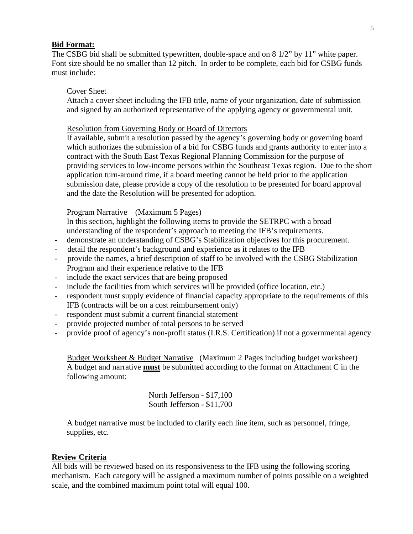#### **Bid Format:**

The CSBG bid shall be submitted typewritten, double-space and on 8 1/2" by 11" white paper. Font size should be no smaller than 12 pitch. In order to be complete, each bid for CSBG funds must include:

#### Cover Sheet

Attach a cover sheet including the IFB title, name of your organization, date of submission and signed by an authorized representative of the applying agency or governmental unit.

#### Resolution from Governing Body or Board of Directors

If available, submit a resolution passed by the agency's governing body or governing board which authorizes the submission of a bid for CSBG funds and grants authority to enter into a contract with the South East Texas Regional Planning Commission for the purpose of providing services to low-income persons within the Southeast Texas region. Due to the short application turn-around time, if a board meeting cannot be held prior to the application submission date, please provide a copy of the resolution to be presented for board approval and the date the Resolution will be presented for adoption.

## Program Narrative (Maximum 5 Pages)

In this section, highlight the following items to provide the SETRPC with a broad understanding of the respondent's approach to meeting the IFB's requirements.

- demonstrate an understanding of CSBG's Stabilization objectives for this procurement.
- detail the respondent's background and experience as it relates to the IFB
- provide the names, a brief description of staff to be involved with the CSBG Stabilization Program and their experience relative to the IFB
- include the exact services that are being proposed
- include the facilities from which services will be provided (office location, etc.)
- respondent must supply evidence of financial capacity appropriate to the requirements of this IFB (contracts will be on a cost reimbursement only)
- respondent must submit a current financial statement
- provide projected number of total persons to be served
- provide proof of agency's non-profit status (I.R.S. Certification) if not a governmental agency

Budget Worksheet & Budget Narrative (Maximum 2 Pages including budget worksheet) A budget and narrative **must** be submitted according to the format on Attachment C in the following amount:

> North Jefferson - \$17,100 South Jefferson - \$11,700

A budget narrative must be included to clarify each line item, such as personnel, fringe, supplies, etc.

#### **Review Criteria**

All bids will be reviewed based on its responsiveness to the IFB using the following scoring mechanism. Each category will be assigned a maximum number of points possible on a weighted scale, and the combined maximum point total will equal 100.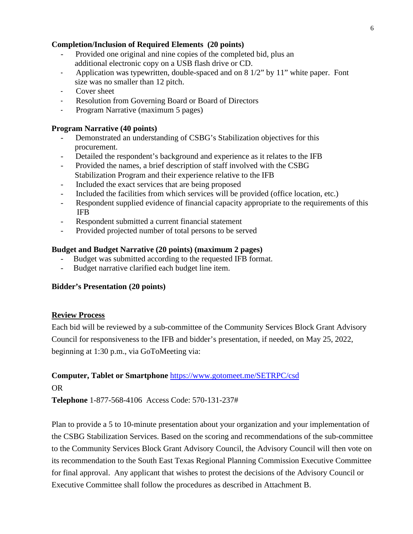# **Completion/Inclusion of Required Elements (20 points)**

- Provided one original and nine copies of the completed bid, plus an additional electronic copy on a USB flash drive or CD.
- Application was typewritten, double-spaced and on 8 1/2" by 11" white paper. Font size was no smaller than 12 pitch.
- Cover sheet
- Resolution from Governing Board or Board of Directors
- Program Narrative (maximum 5 pages)

## **Program Narrative (40 points)**

- Demonstrated an understanding of CSBG's Stabilization objectives for this procurement.
- Detailed the respondent's background and experience as it relates to the IFB
- Provided the names, a brief description of staff involved with the CSBG Stabilization Program and their experience relative to the IFB
- Included the exact services that are being proposed
- Included the facilities from which services will be provided (office location, etc.)
- Respondent supplied evidence of financial capacity appropriate to the requirements of this IFB
- Respondent submitted a current financial statement
- Provided projected number of total persons to be served

# **Budget and Budget Narrative (20 points) (maximum 2 pages)**

- Budget was submitted according to the requested IFB format.
- Budget narrative clarified each budget line item.

## **Bidder's Presentation (20 points)**

## **Review Process**

Each bid will be reviewed by a sub-committee of the Community Services Block Grant Advisory Council for responsiveness to the IFB and bidder's presentation, if needed, on May 25, 2022, beginning at 1:30 p.m., via GoToMeeting via:

# **Computer, Tablet or Smartphone** <https://www.gotomeet.me/SETRPC/csd> OR

**Telephone** [1-877-568-4106](tel:+18775684106,,570131237) Access Code: 570-131-237#

Plan to provide a 5 to 10-minute presentation about your organization and your implementation of the CSBG Stabilization Services. Based on the scoring and recommendations of the sub-committee to the Community Services Block Grant Advisory Council, the Advisory Council will then vote on its recommendation to the South East Texas Regional Planning Commission Executive Committee for final approval. Any applicant that wishes to protest the decisions of the Advisory Council or Executive Committee shall follow the procedures as described in Attachment B.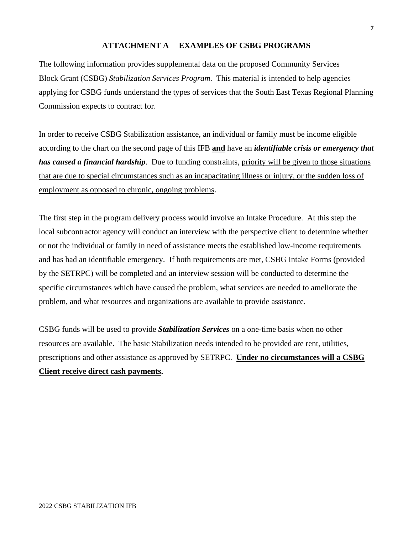## **ATTACHMENT A EXAMPLES OF CSBG PROGRAMS**

The following information provides supplemental data on the proposed Community Services Block Grant (CSBG) *Stabilization Services Program*. This material is intended to help agencies applying for CSBG funds understand the types of services that the South East Texas Regional Planning Commission expects to contract for.

In order to receive CSBG Stabilization assistance, an individual or family must be income eligible according to the chart on the second page of this IFB **and** have an *identifiable crisis or emergency that has caused a financial hardship*. Due to funding constraints, priority will be given to those situations that are due to special circumstances such as an incapacitating illness or injury, or the sudden loss of employment as opposed to chronic, ongoing problems.

The first step in the program delivery process would involve an Intake Procedure. At this step the local subcontractor agency will conduct an interview with the perspective client to determine whether or not the individual or family in need of assistance meets the established low-income requirements and has had an identifiable emergency. If both requirements are met, CSBG Intake Forms (provided by the SETRPC) will be completed and an interview session will be conducted to determine the specific circumstances which have caused the problem, what services are needed to ameliorate the problem, and what resources and organizations are available to provide assistance.

CSBG funds will be used to provide *Stabilization Services* on a one-time basis when no other resources are available. The basic Stabilization needs intended to be provided are rent, utilities, prescriptions and other assistance as approved by SETRPC. **Under no circumstances will a CSBG Client receive direct cash payments.**